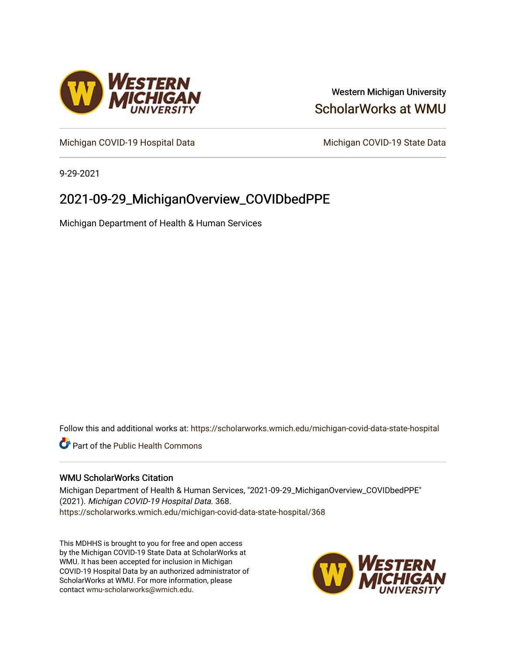

# Western Michigan University [ScholarWorks at WMU](https://scholarworks.wmich.edu/)

[Michigan COVID-19 Hospital Data](https://scholarworks.wmich.edu/michigan-covid-data-state-hospital) Michigan COVID-19 State Data

9-29-2021

# 2021-09-29\_MichiganOverview\_COVIDbedPPE

Michigan Department of Health & Human Services

Follow this and additional works at: [https://scholarworks.wmich.edu/michigan-covid-data-state-hospital](https://scholarworks.wmich.edu/michigan-covid-data-state-hospital?utm_source=scholarworks.wmich.edu%2Fmichigan-covid-data-state-hospital%2F368&utm_medium=PDF&utm_campaign=PDFCoverPages) 

**Part of the Public Health Commons** 

## WMU ScholarWorks Citation

Michigan Department of Health & Human Services, "2021-09-29\_MichiganOverview\_COVIDbedPPE" (2021). Michigan COVID-19 Hospital Data. 368. [https://scholarworks.wmich.edu/michigan-covid-data-state-hospital/368](https://scholarworks.wmich.edu/michigan-covid-data-state-hospital/368?utm_source=scholarworks.wmich.edu%2Fmichigan-covid-data-state-hospital%2F368&utm_medium=PDF&utm_campaign=PDFCoverPages) 

This MDHHS is brought to you for free and open access by the Michigan COVID-19 State Data at ScholarWorks at WMU. It has been accepted for inclusion in Michigan COVID-19 Hospital Data by an authorized administrator of ScholarWorks at WMU. For more information, please contact [wmu-scholarworks@wmich.edu](mailto:wmu-scholarworks@wmich.edu).

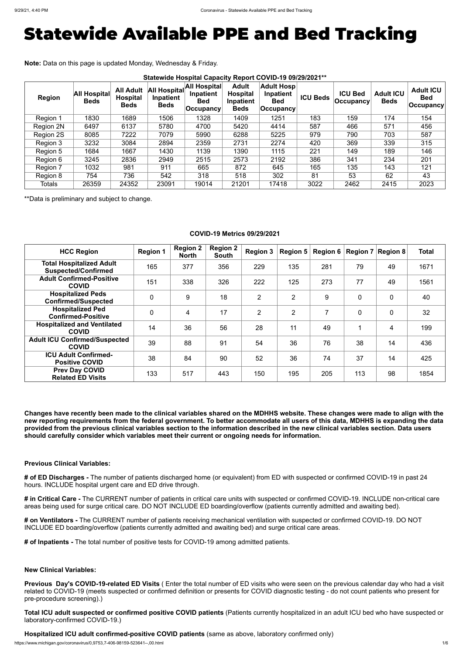# Statewide Available PPE and Bed Tracking

**Note:** Data on this page is updated Monday, Wednesday & Friday.

| <b>Region</b> | <b>All Hospital</b><br><b>Beds</b> | <b>All Adult</b><br><b>Hospital</b><br><b>Beds</b> | All Hospital<br>Inpatient<br><b>Beds</b> | All Hospital<br>Inpatient<br><b>Bed</b><br>∣Occupancy⊺ | <b>Adult</b><br><b>Hospital</b><br>Inpatient<br><b>Beds</b> | <b>Adult Hosp</b><br>Inpatient<br><b>Bed</b><br><b>Occupancy</b> | <b>ICU Beds</b> | <b>ICU Bed</b><br><b>Occupancy</b> | <b>Adult ICU</b><br><b>Beds</b> | <b>Adult ICU</b><br><b>Bed</b><br>$ $ Occupancy $ $ |
|---------------|------------------------------------|----------------------------------------------------|------------------------------------------|--------------------------------------------------------|-------------------------------------------------------------|------------------------------------------------------------------|-----------------|------------------------------------|---------------------------------|-----------------------------------------------------|
| Region 1      | 1830                               | 1689                                               | 1506                                     | 1328                                                   | 1409                                                        | 1251                                                             | 183             | 159                                | 174                             | 154                                                 |
| Region 2N     | 6497                               | 6137                                               | 5780                                     | 4700                                                   | 5420                                                        | 4414                                                             | 587             | 466                                | 571                             | 456                                                 |
| Region 2S     | 8085                               | 7222                                               | 7079                                     | 5990                                                   | 6288                                                        | 5225                                                             | 979             | 790                                | 703                             | 587                                                 |
| Region 3      | 3232                               | 3084                                               | 2894                                     | 2359                                                   | 2731                                                        | 2274                                                             | 420             | 369                                | 339                             | 315                                                 |
| Region 5      | 1684                               | 1667                                               | 1430                                     | 1139                                                   | 1390                                                        | 1115                                                             | 221             | 149                                | 189                             | 146                                                 |
| Region 6      | 3245                               | 2836                                               | 2949                                     | 2515                                                   | 2573                                                        | 2192                                                             | 386             | 341                                | 234                             | 201                                                 |
| Region 7      | 1032                               | 981                                                | 911                                      | 665                                                    | 872                                                         | 645                                                              | 165             | 135                                | 143                             | 121                                                 |
| Region 8      | 754                                | 736                                                | 542                                      | 318                                                    | 518                                                         | 302                                                              | 81              | 53                                 | 62                              | 43                                                  |
| <b>Totals</b> | 26359                              | 24352                                              | 23091                                    | 19014                                                  | 21201                                                       | 17418                                                            | 3022            | 2462                               | 2415                            | 2023                                                |

\*\*Data is preliminary and subject to change.

## **COVID-19 Metrics 09/29/2021**

| <b>HCC Region</b>                                             | <b>Region 1</b> | <b>Region 2</b><br><b>North</b> | <b>Region 2</b><br>South | <b>Region 3</b> | Region 5       | Region 6 $ $ |                | <b>Region 7 Region 8</b> | <b>Total</b> |
|---------------------------------------------------------------|-----------------|---------------------------------|--------------------------|-----------------|----------------|--------------|----------------|--------------------------|--------------|
| <b>Total Hospitalized Adult</b><br><b>Suspected/Confirmed</b> | 165             | 377                             | 356                      | 229             | 135            | 281          | 79             | 49                       | 1671         |
| <b>Adult Confirmed-Positive</b><br><b>COVID</b>               | 151             | 338                             | 326                      | 222             | 125            | 273          | 77             | 49                       | 1561         |
| <b>Hospitalized Peds</b><br><b>Confirmed/Suspected</b>        | $\overline{0}$  | 9                               | 18                       | 2               | $\overline{2}$ | 9            | $\overline{0}$ | $\overline{0}$           | 40           |
| <b>Hospitalized Ped</b><br><b>Confirmed-Positive</b>          | $\overline{0}$  | 4                               | 17                       | $\overline{2}$  | $\overline{2}$ | 7            | $\overline{0}$ | $\overline{0}$           | 32           |
| <b>Hospitalized and Ventilated</b><br><b>COVID</b>            | 14              | 36                              | 56                       | 28              | 11             | 49           |                | $\overline{4}$           | 199          |
| <b>Adult ICU Confirmed/Suspected</b><br><b>COVID</b>          | 39              | 88                              | 91                       | 54              | 36             | 76           | 38             | 14                       | 436          |
| <b>ICU Adult Confirmed-</b><br><b>Positive COVID</b>          | 38              | 84                              | 90                       | 52              | 36             | 74           | 37             | 14                       | 425          |
| <b>Prev Day COVID</b><br><b>Related ED Visits</b>             | 133             | 517                             | 443                      | 150             | 195            | 205          | 113            | 98                       | 1854         |

**Changes have recently been made to the clinical variables shared on the MDHHS website. These changes were made to align with the new reporting requirements from the federal government. To better accommodate all users of this data, MDHHS is expanding the data provided from the previous clinical variables section to the information described in the new clinical variables section. Data users should carefully consider which variables meet their current or ongoing needs for information.**

### **Previous Clinical Variables:**

**# of ED Discharges -** The number of patients discharged home (or equivalent) from ED with suspected or confirmed COVID-19 in past 24 hours. INCLUDE hospital urgent care and ED drive through.

**# in Critical Care -** The CURRENT number of patients in critical care units with suspected or confirmed COVID-19. INCLUDE non-critical care areas being used for surge critical care. DO NOT INCLUDE ED boarding/overflow (patients currently admitted and awaiting bed).

**# on Ventilators -** The CURRENT number of patients receiving mechanical ventilation with suspected or confirmed COVID-19. DO NOT INCLUDE ED boarding/overflow (patients currently admitted and awaiting bed) and surge critical care areas.

**# of Inpatients -** The total number of positive tests for COVID-19 among admitted patients.

**New Clinical Variables:**

**Previous Day's COVID-19-related ED Visits** ( Enter the total number of ED visits who were seen on the previous calendar day who had a visit related to COVID-19 (meets suspected or confirmed definition or presents for COVID diagnostic testing - do not count patients who present for pre-procedure screening).)

**Total ICU adult suspected or confirmed positive COVID patients** (Patients currently hospitalized in an adult ICU bed who have suspected or laboratory-confirmed COVID-19.)

**Hospitalized ICU adult confirmed-positive COVID patients** (same as above, laboratory confirmed only)

https://www.michigan.gov/coronavirus/0,9753,7-406-98159-523641--,00.html 1/6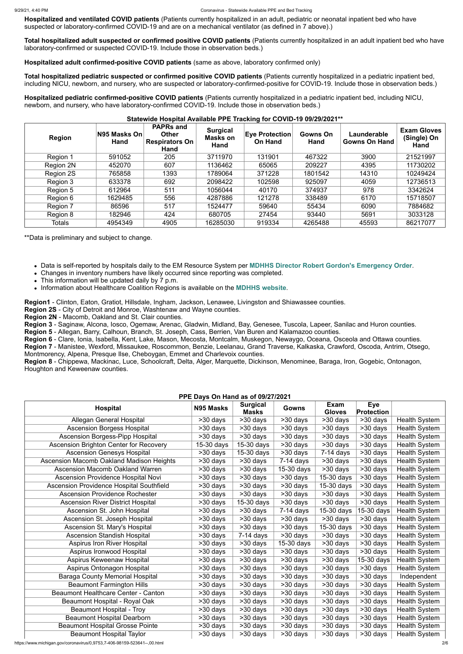**Hospitalized and ventilated COVID patients** (Patients currently hospitalized in an adult, pediatric or neonatal inpatient bed who have suspected or laboratory-confirmed COVID-19 and are on a mechanical ventilator (as defined in 7 above).)

**Total hospitalized adult suspected or confirmed positive COVID patients** (Patients currently hospitalized in an adult inpatient bed who have laboratory-confirmed or suspected COVID-19. Include those in observation beds.)

**Hospitalized adult confirmed-positive COVID patients** (same as above, laboratory confirmed only)

**Total hospitalized pediatric suspected or confirmed positive COVID patients** (Patients currently hospitalized in a pediatric inpatient bed, including NICU, newborn, and nursery, who are suspected or laboratory-confirmed-positive for COVID-19. Include those in observation beds.)

**Hospitalized pediatric confirmed-positive COVID patients** (Patients currently hospitalized in a pediatric inpatient bed, including NICU, newborn, and nursery, who have laboratory-confirmed COVID-19. Include those in observation beds.)

#### **Statewide Hospital Available PPE Tracking for COVID-19 09/29/2021\*\***

| <b>Region</b> | N95 Masks On<br>Hand | <b>PAPRs and</b><br><b>Other</b><br><b>Respirators On</b><br>Hand | <b>Surgical</b><br><b>Masks on</b><br>Hand | <b>Eye Protection</b><br><b>On Hand</b> | <b>Gowns On</b><br>Hand | Launderable<br><b>Gowns On Hand</b> | <b>Exam Gloves</b><br>(Single) On<br>Hand |
|---------------|----------------------|-------------------------------------------------------------------|--------------------------------------------|-----------------------------------------|-------------------------|-------------------------------------|-------------------------------------------|
| Region 1      | 591052               | 205                                                               | 3711970                                    | 131901                                  | 467322                  | 3900                                | 21521997                                  |
| Region 2N     | 452070               | 607                                                               | 1136462                                    | 65065                                   | 209227                  | 4395                                | 11730202                                  |
| Region 2S     | 765858               | 1393                                                              | 1789064                                    | 371228                                  | 1801542                 | 14310                               | 10249424                                  |
| Region 3      | 633378               | 692                                                               | 2098422                                    | 102598                                  | 925097                  | 4059                                | 12736513                                  |
| Region 5      | 612964               | 511                                                               | 1056044                                    | 40170                                   | 374937                  | 978                                 | 3342624                                   |
| Region 6      | 1629485              | 556                                                               | 4287886                                    | 121278                                  | 338489                  | 6170                                | 15718507                                  |
| Region 7      | 86596                | 517                                                               | 1524477                                    | 59640                                   | 55434                   | 6090                                | 7884682                                   |
| Region 8      | 182946               | 424                                                               | 680705                                     | 27454                                   | 93440                   | 5691                                | 3033128                                   |
| <b>Totals</b> | 4954349              | 4905                                                              | 16285030                                   | 919334                                  | 4265488                 | 45593                               | 86217077                                  |

\*\*Data is preliminary and subject to change.

- Data is self-reported by hospitals daily to the EM Resource System per **[MDHHS Director Robert Gordon's Emergency Order](https://www.michigan.gov/documents/coronavirus/MDHHS_epidemic_reporting_order_and_instructions_684709_7.pdf)**.
- Changes in inventory numbers have likely occurred since reporting was completed.
- This information will be updated daily by 7 p.m.
- Information about Healthcare Coalition Regions is available on the **[MDHHS website](https://www.michigan.gov/mdhhs/0,5885,7-339-71548_54783_54826_56171-237197--,00.html#hcc)**.

**Region1** - Clinton, Eaton, Gratiot, Hillsdale, Ingham, Jackson, Lenawee, Livingston and Shiawassee counties.

**Region 2S** - City of Detroit and Monroe, Washtenaw and Wayne counties.

**Region 2N** - Macomb, Oakland and St. Clair counties.

**Region 3** - Saginaw, Alcona, Iosco, Ogemaw, Arenac, Gladwin, Midland, Bay, Genesee, Tuscola, Lapeer, Sanilac and Huron counties.

**Region 5** - Allegan, Barry, Calhoun, Branch, St. Joseph, Cass, Berrien, Van Buren and Kalamazoo counties.

**Region 6** - Clare, Ionia, Isabella, Kent, Lake, Mason, Mecosta, Montcalm, Muskegon, Newaygo, Oceana, Osceola and Ottawa counties. **Region 7** - Manistee, Wexford, Missaukee, Roscommon, Benzie, Leelanau, Grand Traverse, Kalkaska, Crawford, Oscoda, Antrim, Otsego, Montmorency, Alpena, Presque Ilse, Cheboygan, Emmet and Charlevoix counties.

**Region 8** - Chippewa, Mackinac, Luce, Schoolcraft, Delta, Alger, Marquette, Dickinson, Menominee, Baraga, Iron, Gogebic, Ontonagon, Houghton and Keweenaw counties.

#### **PPE Days On Hand as of 09/27/2021**

| PPE Days On Hand as of 09/2//2021               |            |                                 |             |                              |                                 |                      |  |  |
|-------------------------------------------------|------------|---------------------------------|-------------|------------------------------|---------------------------------|----------------------|--|--|
| <b>Hospital</b>                                 | N95 Masks  | <b>Surgical</b><br><b>Masks</b> | Gowns       | <b>Exam</b><br><b>Gloves</b> | <b>Eye</b><br><b>Protection</b> |                      |  |  |
| Allegan General Hospital                        | >30 days   | $\overline{>}30$ days           | $>30$ days  | >30 days                     | >30 days                        | <b>Health System</b> |  |  |
| <b>Ascension Borgess Hospital</b>               | >30 days   | $>30$ days                      | >30 days    | $>30$ days                   | $>30$ days                      | <b>Health System</b> |  |  |
| <b>Ascension Borgess-Pipp Hospital</b>          | >30 days   | >30 days                        | $>30$ days  | >30 days                     | $>30$ days                      | <b>Health System</b> |  |  |
| Ascension Brighton Center for Recovery          | 15-30 days | $\overline{15}$ -30 days        | $>30$ days  | >30 days                     | $>30$ days                      | <b>Health System</b> |  |  |
| <b>Ascension Genesys Hospital</b>               | >30 days   | $15-30$ days                    | >30 days    | $7-14$ days                  | >30 days                        | <b>Health System</b> |  |  |
| <b>Ascension Macomb Oakland Madison Heights</b> | >30 days   | >30 days                        | $7-14$ days | >30 days                     | $>30$ days                      | <b>Health System</b> |  |  |
| <b>Ascension Macomb Oakland Warren</b>          | $>30$ days | >30 days                        | 15-30 days  | >30 days                     | >30 days                        | <b>Health System</b> |  |  |
| <b>Ascension Providence Hospital Novi</b>       | >30 days   | >30 days                        | >30 days    | 15-30 days                   | >30 days                        | <b>Health System</b> |  |  |
| <b>Ascension Providence Hospital Southfield</b> | >30 days   | >30 days                        | >30 days    | 15-30 days                   | >30 days                        | <b>Health System</b> |  |  |
| <b>Ascension Providence Rochester</b>           | >30 days   | $\overline{>30}$ days           | >30 days    | >30 days                     | >30 days                        | <b>Health System</b> |  |  |
| <b>Ascension River District Hospital</b>        | >30 days   | $\overline{15}$ -30 days        | >30 days    | $\overline{>30}$ days        | $\overline{>30}$ days           | <b>Health System</b> |  |  |
| Ascension St. John Hospital                     | >30 days   | >30 days                        | $7-14$ days | 15-30 days                   | 15-30 days                      | <b>Health System</b> |  |  |
| Ascension St. Joseph Hospital                   | >30 days   | >30 days                        | >30 days    | $>30$ days                   | >30 days                        | <b>Health System</b> |  |  |
| <b>Ascension St. Mary's Hospital</b>            | >30 days   | >30 days                        | >30 days    | 15-30 days                   | >30 days                        | <b>Health System</b> |  |  |
| <b>Ascension Standish Hospital</b>              | >30 days   | $7-14$ days                     | >30 days    | >30 days                     | >30 days                        | <b>Health System</b> |  |  |
| <b>Aspirus Iron River Hospital</b>              | >30 days   | >30 days                        | 15-30 days  | >30 days                     | >30 days                        | <b>Health System</b> |  |  |
| Aspirus Ironwood Hospital                       | >30 days   | >30 days                        | >30 days    | >30 days                     | >30 days                        | <b>Health System</b> |  |  |
| <b>Aspirus Keweenaw Hospital</b>                | >30 days   | >30 days                        | >30 days    | >30 days                     | 15-30 days                      | <b>Health System</b> |  |  |
| Aspirus Ontonagon Hospital                      | >30 days   | >30 days                        | >30 days    | >30 days                     | >30 days                        | <b>Health System</b> |  |  |
| <b>Baraga County Memorial Hospital</b>          | >30 days   | >30 days                        | $>30$ days  | >30 days                     | >30 days                        | Independent          |  |  |
| <b>Beaumont Farmington Hills</b>                | >30 days   | >30 days                        | >30 days    | >30 days                     | >30 days                        | <b>Health System</b> |  |  |
| <b>Beaumont Healthcare Center - Canton</b>      | >30 days   | >30 days                        | >30 days    | >30 days                     | >30 days                        | <b>Health System</b> |  |  |
| <b>Beaumont Hospital - Royal Oak</b>            | >30 days   | >30 days                        | >30 days    | >30 days                     | >30 days                        | <b>Health System</b> |  |  |
| <b>Beaumont Hospital - Troy</b>                 | $>30$ days | $>30$ days                      | >30 days    | >30 days                     | >30 days                        | <b>Health System</b> |  |  |
| <b>Beaumont Hospital Dearborn</b>               | >30 days   | >30 days                        | >30 days    | >30 days                     | >30 days                        | <b>Health System</b> |  |  |
| <b>Beaumont Hospital Grosse Pointe</b>          | >30 days   | >30 days                        | >30 days    | >30 days                     | >30 days                        | <b>Health System</b> |  |  |
| <b>Beaumont Hospital Taylor</b>                 | >30 days   | >30 days                        | >30 days    | >30 days                     | >30 days                        | <b>Health System</b> |  |  |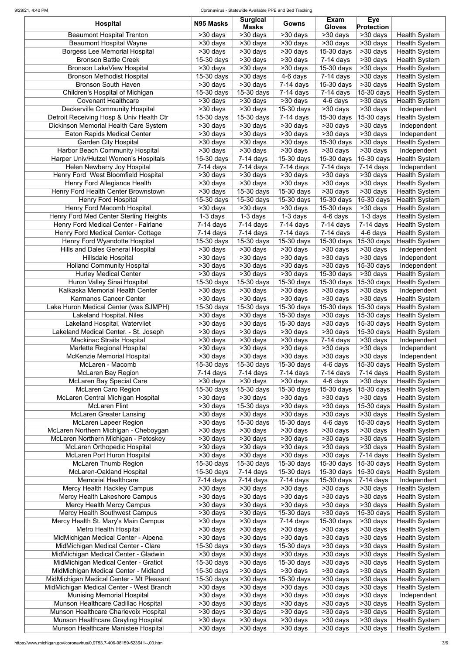#### 9/29/21, 4:40 PM Coronavirus - Statewide Available PPE and Bed Tracking

| <b>Hospital</b>                                                              | N95 Masks                             | <b>Surgical</b><br><b>Masks</b>      | Gowns                                 | Exam<br><b>Gloves</b>             | <b>Eye</b><br><b>Protection</b>     |                                              |
|------------------------------------------------------------------------------|---------------------------------------|--------------------------------------|---------------------------------------|-----------------------------------|-------------------------------------|----------------------------------------------|
| <b>Beaumont Hospital Trenton</b>                                             | >30 days                              | >30 days                             | >30 days                              | >30 days                          | $\overline{>30}$ days               | <b>Health System</b>                         |
| <b>Beaumont Hospital Wayne</b>                                               | >30 days                              | >30 days                             | $>30$ days                            | $>30$ days                        | >30 days                            | <b>Health System</b>                         |
| <b>Borgess Lee Memorial Hospital</b>                                         | >30 days                              | >30 days                             | $>30$ days                            | 15-30 days                        | >30 days                            | <b>Health System</b>                         |
| <b>Bronson Battle Creek</b>                                                  | 15-30 days                            | $>30$ days                           | >30 days                              | $7-14$ days                       | >30 days                            | <b>Health System</b>                         |
| <b>Bronson LakeView Hospital</b>                                             | $\overline{>30}$ days                 | >30 days                             | >30 days                              | 15-30 days                        | >30 days                            | <b>Health System</b>                         |
| <b>Bronson Methodist Hospital</b><br><b>Bronson South Haven</b>              | 15-30 days<br>$\overline{>30}$ days   | >30 days<br>>30 days                 | 4-6 days<br>$7-14$ days               | $7-14$ days<br>15-30 days         | >30 days<br>>30 days                | <b>Health System</b><br><b>Health System</b> |
| Children's Hospital of Michigan                                              | 15-30 days                            | 15-30 days                           | 7-14 days                             | $7-14$ days                       | 15-30 days                          | <b>Health System</b>                         |
| <b>Covenant Healthcare</b>                                                   | >30 days                              | >30 days                             | >30 days                              | 4-6 days                          | >30 days                            | <b>Health System</b>                         |
| <b>Deckerville Community Hospital</b>                                        | >30 days                              | >30 days                             | 15-30 days                            | >30 days                          | >30 days                            | Independent                                  |
| Detroit Receiving Hosp & Univ Health Ctr                                     | 15-30 days                            | 15-30 days                           | $7-14$ days                           | $\overline{15}$ -30 days          | 15-30 days                          | <b>Health System</b>                         |
| Dickinson Memorial Health Care System                                        | >30 days                              | >30 days                             | $>30$ days                            | >30 days                          | >30 days                            | Independent                                  |
| <b>Eaton Rapids Medical Center</b>                                           | >30 days                              | >30 days                             | >30 days                              | >30 days                          | >30 days                            | Independent                                  |
| <b>Garden City Hospital</b>                                                  | >30 days                              | >30 days                             | $>30$ days                            | 15-30 days                        | >30 days                            | <b>Health System</b>                         |
| <b>Harbor Beach Community Hospital</b>                                       | >30 days                              | >30 days                             | >30 days                              | >30 days                          | >30 days                            | Independent                                  |
| Harper Univ/Hutzel Women's Hospitals                                         | 15-30 days                            | $7-14$ days                          | 15-30 days                            | 15-30 days                        | 15-30 days                          | <b>Health System</b>                         |
| Helen Newberry Joy Hospital                                                  | $7-14$ days                           | $7-14$ days                          | $7-14$ days                           | $7-14$ days                       | $7-14$ days                         | Independent                                  |
| Henry Ford West Bloomfield Hospital                                          | >30 days                              | $>30$ days                           | >30 days                              | >30 days                          | >30 days                            | <b>Health System</b>                         |
| Henry Ford Allegiance Health<br>Henry Ford Health Center Brownstown          | $\overline{>30}$ days<br>>30 days     | >30 days<br>$\overline{15}$ -30 days | >30 days<br>15-30 days                | >30 days<br>$\overline{>}30$ days | $\overline{>30}$ days<br>$>30$ days | <b>Health System</b><br><b>Health System</b> |
| <b>Henry Ford Hospital</b>                                                   | $15-30$ days                          | 15-30 days                           | 15-30 days                            | 15-30 days                        | 15-30 days                          | <b>Health System</b>                         |
| <b>Henry Ford Macomb Hospital</b>                                            | >30 days                              | $\overline{>30}$ days                | >30 days                              | 15-30 days                        | $\overline{>30}$ days               | <b>Health System</b>                         |
| Henry Ford Med Center Sterling Heights                                       | $1-3$ days                            | $1-3$ days                           | $1-3$ days                            | 4-6 days                          | 1-3 days                            | <b>Health System</b>                         |
| Henry Ford Medical Center - Fairlane                                         | $7-14$ days                           | $\overline{7}$ -14 days              | $7-14$ days                           | $7-14$ days                       | $7-14$ days                         | <b>Health System</b>                         |
| <b>Henry Ford Medical Center- Cottage</b>                                    | $\overline{7}$ -14 days               | $7-14$ days                          | $7-14$ days                           | $7-14$ days                       | 4-6 days                            | <b>Health System</b>                         |
| <b>Henry Ford Wyandotte Hospital</b>                                         | 15-30 days                            | $\overline{15}$ -30 days             | 15-30 days                            | 15-30 days                        | 15-30 days                          | <b>Health System</b>                         |
| <b>Hills and Dales General Hospital</b>                                      | >30 days                              | >30 days                             | >30 days                              | >30 days                          | >30 days                            | Independent                                  |
| <b>Hillsdale Hospital</b>                                                    | $\overline{>30}$ days                 | $\overline{>30}$ days                | $>30$ days                            | $\overline{>30}$ days             | $>30$ days                          | Independent                                  |
| <b>Holland Community Hospital</b>                                            | $\overline{>30}$ days                 | $>30$ days                           | >30 days                              | $\overline{>}30$ days             | $\overline{15-30}$ days             | Independent                                  |
| <b>Hurley Medical Center</b>                                                 | >30 days                              | >30 days                             | $>30$ days                            | 15-30 days                        | >30 days                            | <b>Health System</b>                         |
| Huron Valley Sinai Hospital                                                  | $15-30$ days                          | 15-30 days                           | 15-30 days                            | 15-30 days                        | 15-30 days                          | <b>Health System</b>                         |
| Kalkaska Memorial Health Center<br><b>Karmanos Cancer Center</b>             | >30 days<br>>30 days                  | >30 days<br>>30 days                 | $\overline{>30}$ days<br>>30 days     | >30 days<br>$>30$ days            | $\overline{>30}$ days<br>>30 days   | Independent<br><b>Health System</b>          |
| Lake Huron Medical Center (was SJMPH)                                        | 15-30 days                            | 15-30 days                           | 15-30 days                            | 15-30 days                        | 15-30 days                          | <b>Health System</b>                         |
| <b>Lakeland Hospital, Niles</b>                                              | >30 days                              | $>30$ days                           | 15-30 days                            | >30 days                          | $\overline{15}$ -30 days            | <b>Health System</b>                         |
| Lakeland Hospital, Watervliet                                                | >30 days                              | >30 days                             | 15-30 days                            | >30 days                          | 15-30 days                          | <b>Health System</b>                         |
| Lakeland Medical Center. - St. Joseph                                        | >30 days                              | >30 days                             | >30 days                              | >30 days                          | 15-30 days                          | <b>Health System</b>                         |
| Mackinac Straits Hospital                                                    | $>30$ days                            | >30 days                             | >30 days                              | $7-14$ days                       | >30 days                            | Independent                                  |
| Marlette Regional Hospital                                                   | >30 days                              | >30 days                             | >30 days                              | >30 days                          | >30 days                            | Independent                                  |
| McKenzie Memorial Hospital                                                   | >30 days                              | >30 days                             | $>30$ days                            | >30 days                          | >30 days                            | Independent                                  |
| McLaren - Macomb                                                             | 15-30 days                            | 15-30 days                           | 15-30 days                            | 4-6 days                          | $15-30$ days                        | <b>Health System</b>                         |
| <b>McLaren Bay Region</b>                                                    | $7-14$ days                           | $7-14$ days                          | $7-14$ days                           | $7-14$ days                       | $7-14$ days                         | <b>Health System</b>                         |
| <b>McLaren Bay Special Care</b><br><b>McLaren Caro Region</b>                | $>30$ days<br>15-30 days              | $\overline{>30}$ days<br>15-30 days  | >30 days<br>15-30 days                | 4-6 days<br>15-30 days            | >30 days<br>15-30 days              | <b>Health System</b><br><b>Health System</b> |
| McLaren Central Michigan Hospital                                            | >30 days                              | >30 days                             | >30 days                              | >30 days                          | >30 days                            | <b>Health System</b>                         |
| <b>McLaren Flint</b>                                                         | $>30$ days                            | 15-30 days                           | >30 days                              | >30 days                          | 15-30 days                          | <b>Health System</b>                         |
| <b>McLaren Greater Lansing</b>                                               | >30 days                              | >30 days                             | >30 days                              | >30 days                          | >30 days                            | <b>Health System</b>                         |
| <b>McLaren Lapeer Region</b>                                                 | >30 days                              | 15-30 days                           | $\overline{15}$ -30 days              | 4-6 days                          | 15-30 days                          | <b>Health System</b>                         |
| McLaren Northern Michigan - Cheboygan                                        | >30 days                              | >30 days                             | >30 days                              | >30 days                          | >30 days                            | <b>Health System</b>                         |
| McLaren Northern Michigan - Petoskey                                         | $>30$ days                            | $>30$ days                           | $>30$ days                            | >30 days                          | >30 days                            | <b>Health System</b>                         |
| <b>McLaren Orthopedic Hospital</b>                                           | >30 days                              | >30 days                             | >30 days                              | $\overline{>30}$ days             | $\overline{>30}$ days               | <b>Health System</b>                         |
| <b>McLaren Port Huron Hospital</b>                                           | >30 days                              | >30 days                             | >30 days                              | >30 days                          | $7-14$ days                         | <b>Health System</b>                         |
| <b>McLaren Thumb Region</b>                                                  | 15-30 days                            | 15-30 days                           | $15-30$ days                          | 15-30 days                        | 15-30 days<br>15-30 days            | <b>Health System</b>                         |
| McLaren-Oakland Hospital<br><b>Memorial Healthcare</b>                       | 15-30 days<br>$\overline{7}$ -14 days | $7-14$ days<br>$7-14$ days           | 15-30 days<br>$\overline{7}$ -14 days | 15-30 days<br>15-30 days          | $7-14$ days                         | <b>Health System</b><br>Independent          |
| Mercy Health Hackley Campus                                                  | >30 days                              | >30 days                             | >30 days                              | >30 days                          | >30 days                            | <b>Health System</b>                         |
| <b>Mercy Health Lakeshore Campus</b>                                         | >30 days                              | >30 days                             | >30 days                              | $\overline{>30}$ days             | >30 days                            | <b>Health System</b>                         |
| Mercy Health Mercy Campus                                                    | >30 days                              | >30 days                             | $>30$ days                            | >30 days                          | $>30$ days                          | <b>Health System</b>                         |
| <b>Mercy Health Southwest Campus</b>                                         | >30 days                              | >30 days                             | 15-30 days                            | >30 days                          |                                     | <b>Health System</b>                         |
| Mercy Health St. Mary's Main Campus                                          | >30 days                              | >30 days                             | 7-14 days                             | 15-30 days                        | >30 days                            | <b>Health System</b>                         |
| <b>Metro Health Hospital</b>                                                 | >30 days                              | >30 days                             | >30 days                              | >30 days                          | >30 days                            | <b>Health System</b>                         |
| MidMichigan Medical Center - Alpena                                          | >30 days                              | >30 days                             | >30 days                              | >30 days                          | >30 days                            | <b>Health System</b>                         |
| MidMichigan Medical Center - Clare                                           | 15-30 days                            | >30 days                             | 15-30 days                            | >30 days                          | >30 days                            | <b>Health System</b>                         |
| MidMichigan Medical Center - Gladwin                                         | >30 days                              | >30 days                             | >30 days                              | >30 days                          | >30 days                            | <b>Health System</b>                         |
| MidMichigan Medical Center - Gratiot<br>MidMichigan Medical Center - Midland | $15-30$ days<br>$15-30$ days          | >30 days<br>>30 days                 | 15-30 days<br>>30 days                | >30 days<br>>30 days              | >30 days<br>>30 days                | <b>Health System</b><br><b>Health System</b> |
| MidMichigan Medical Center - Mt Pleasant                                     | 15-30 days                            | >30 days                             | 15-30 days                            | >30 days                          | >30 days                            | <b>Health System</b>                         |
| MidMichigan Medical Center - West Branch                                     | >30 days                              | >30 days                             | >30 days                              | >30 days                          | >30 days                            | <b>Health System</b>                         |
| <b>Munising Memorial Hospital</b>                                            | >30 days                              | >30 days                             | >30 days                              | >30 days                          | >30 days                            | Independent                                  |
| Munson Healthcare Cadillac Hospital                                          | >30 days                              | >30 days                             | >30 days                              | >30 days                          | >30 days                            | <b>Health System</b>                         |
| Munson Healthcare Charlevoix Hospital                                        | >30 days                              | >30 days                             | >30 days                              | >30 days                          | >30 days                            | <b>Health System</b>                         |
| Munson Healthcare Grayling Hospital                                          | $>30$ days                            | >30 days                             | >30 days                              | >30 days                          | >30 days                            | <b>Health System</b>                         |
| Munson Healthcare Manistee Hospital                                          | >30 days                              | >30 days                             | >30 days                              | >30 days                          | >30 days                            | <b>Health System</b>                         |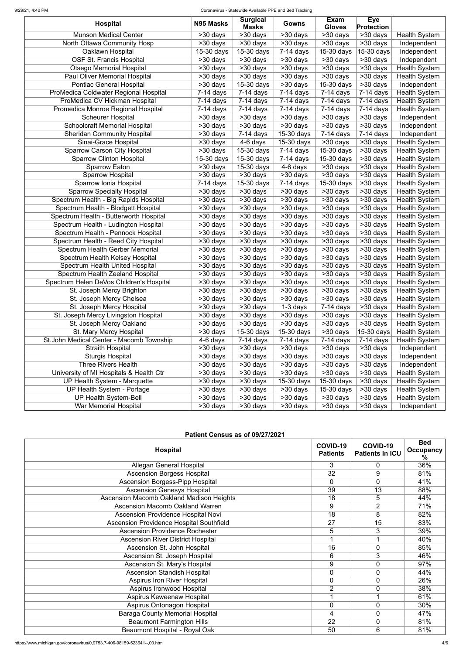#### 9/29/21, 4:40 PM Coronavirus - Statewide Available PPE and Bed Tracking

| <b>Hospital</b>                                                               | N95 Masks             | <b>Surgical</b>          | Gowns                             | Exam                                   | <b>Eye</b>                                 |                                              |
|-------------------------------------------------------------------------------|-----------------------|--------------------------|-----------------------------------|----------------------------------------|--------------------------------------------|----------------------------------------------|
| <b>Munson Medical Center</b>                                                  | >30 days              | <b>Masks</b><br>>30 days |                                   | <b>Gloves</b><br>$\overline{>30}$ days | <b>Protection</b><br>$\overline{>30}$ days |                                              |
| North Ottawa Community Hosp                                                   | >30 days              | >30 days                 | >30 days<br>$\overline{>30}$ days | >30 days                               | $>30$ days                                 | <b>Health System</b><br>Independent          |
| Oaklawn Hospital                                                              | 15-30 days            | 15-30 days               | $7-14$ days                       | 15-30 days                             | 15-30 days                                 | Independent                                  |
| <b>OSF St. Francis Hospital</b>                                               | >30 days              | $>30$ days               | >30 days                          | >30 days                               | >30 days                                   | Independent                                  |
| <b>Otsego Memorial Hospital</b>                                               | >30 days              | >30 days                 | >30 days                          | $>30$ days                             | >30 days                                   | <b>Health System</b>                         |
| Paul Oliver Memorial Hospital                                                 |                       | >30 days                 |                                   | >30 days                               | $>30$ days                                 | <b>Health System</b>                         |
| <b>Pontiac General Hospital</b>                                               | >30 days<br>>30 days  | 15-30 days               | >30 days<br>>30 days              | 15-30 days                             | >30 days                                   | Independent                                  |
| ProMedica Coldwater Regional Hospital                                         | $7-14$ days           | $7-14$ days              | $7-14$ days                       | $7-14$ days                            | $7-14$ days                                | <b>Health System</b>                         |
| ProMedica CV Hickman Hospital                                                 | $7-14$ days           | $7-14$ days              | $7-14$ days                       | $7-14$ days                            | $7-14$ days                                | <b>Health System</b>                         |
| Promedica Monroe Regional Hospital                                            | $7-14$ days           | $7-14$ days              | $7-14$ days                       | $7-14$ days                            | $7-14$ days                                | <b>Health System</b>                         |
| <b>Scheurer Hospital</b>                                                      | >30 days              | >30 days                 | >30 days                          | >30 days                               | >30 days                                   | Independent                                  |
| <b>Schoolcraft Memorial Hospital</b>                                          | >30 days              | >30 days                 | >30 days                          | >30 days                               | >30 days                                   | Independent                                  |
| <b>Sheridan Community Hospital</b>                                            | $>30$ days            | $7-14$ days              | 15-30 days                        | $7-14$ days                            | $7-14$ days                                | Independent                                  |
| Sinai-Grace Hospital                                                          | >30 days              | $\overline{4}$ -6 days   | 15-30 days                        | >30 days                               | >30 days                                   | <b>Health System</b>                         |
| <b>Sparrow Carson City Hospital</b>                                           | >30 days              | 15-30 days               | $7-14$ days                       | 15-30 days                             | >30 days                                   | <b>Health System</b>                         |
| <b>Sparrow Clinton Hospital</b>                                               | $15-30$ days          | 15-30 days               | $7-14$ days                       | 15-30 days                             | >30 days                                   | <b>Health System</b>                         |
| <b>Sparrow Eaton</b>                                                          | >30 days              | 15-30 days               | 4-6 days                          | >30 days                               | >30 days                                   | <b>Health System</b>                         |
| <b>Sparrow Hospital</b>                                                       | >30 days              | >30 days                 | >30 days                          | >30 days                               | >30 days                                   | <b>Health System</b>                         |
| Sparrow Ionia Hospital                                                        | $7-14$ days           | $15-30$ days             | $\overline{7}$ -14 days           | $15-30$ days                           | $\overline{>}30$ days                      | <b>Health System</b>                         |
| <b>Sparrow Specialty Hospital</b>                                             |                       | $>30$ days               | >30 days                          | $>30$ days                             | $\overline{>}30$ days                      | <b>Health System</b>                         |
|                                                                               | >30 days              | >30 days                 |                                   |                                        | $\overline{>30}$ days                      | <b>Health System</b>                         |
| Spectrum Health - Big Rapids Hospital                                         | >30 days              | $\overline{>}30$ days    | >30 days<br>$\overline{>30}$ days | >30 days<br>>30 days                   | $\overline{>}30$ days                      |                                              |
| Spectrum Health - Blodgett Hospital<br>Spectrum Health - Butterworth Hospital | >30 days              | $\overline{>30}$ days    |                                   | $\overline{>30}$ days                  | $>30$ days                                 | <b>Health System</b><br><b>Health System</b> |
|                                                                               | >30 days              | $>30$ days               | >30 days<br>$>30$ days            | $>30$ days                             |                                            |                                              |
| Spectrum Health - Ludington Hospital                                          | $\overline{>}30$ days |                          |                                   |                                        | >30 days                                   | <b>Health System</b>                         |
| Spectrum Health - Pennock Hospital                                            | >30 days              | >30 days                 | >30 days                          | $\overline{>30}$ days                  | $\overline{>30}$ days                      | <b>Health System</b>                         |
| Spectrum Health - Reed City Hospital                                          | >30 days              | $>30$ days               | $>30$ days                        | $>30$ days                             | $>30$ days                                 | <b>Health System</b>                         |
| <b>Spectrum Health Gerber Memorial</b>                                        | $>30$ days            | >30 days                 | >30 days                          | >30 days                               | >30 days                                   | <b>Health System</b>                         |
| Spectrum Health Kelsey Hospital                                               | $>30$ days            | $\overline{>30}$ days    | $>30$ days                        | $\overline{>}30$ days                  | $>30$ days                                 | <b>Health System</b>                         |
| Spectrum Health United Hospital                                               | $>30$ days            | >30 days                 | $>30$ days                        | $\overline{>}30$ days                  | $\overline{>}30$ days                      | <b>Health System</b>                         |
| Spectrum Health Zeeland Hospital                                              | >30 days              | >30 days                 | >30 days                          | $\overline{>}30$ days                  | >30 days                                   | <b>Health System</b>                         |
| Spectrum Helen DeVos Children's Hospital                                      | >30 days              | >30 days                 | >30 days                          | >30 days                               | >30 days                                   | <b>Health System</b>                         |
| St. Joseph Mercy Brighton                                                     | >30 days              | >30 days                 | >30 days                          | >30 days                               | >30 days                                   | <b>Health System</b>                         |
| St. Joseph Mercy Chelsea                                                      | >30 days              | >30 days                 | >30 days                          | $>30$ days                             | $>30$ days                                 | <b>Health System</b>                         |
| St. Joseph Mercy Hospital                                                     | >30 days              | >30 days                 | $1-3$ days                        | $7-14$ days                            | >30 days                                   | <b>Health System</b>                         |
| St. Joseph Mercy Livingston Hospital                                          | >30 days              | >30 days                 | >30 days                          | >30 days                               | >30 days                                   | <b>Health System</b>                         |
| St. Joseph Mercy Oakland                                                      | >30 days              | >30 days                 | >30 days                          | >30 days                               | >30 days                                   | <b>Health System</b>                         |
| St. Mary Mercy Hospital                                                       | >30 days              | 15-30 days               | 15-30 days                        | >30 days                               | 15-30 days                                 | <b>Health System</b>                         |
| St.John Medical Center - Macomb Township                                      | 4-6 days              | $7-14$ days              | $7-14$ days                       | $7-14$ days                            | $7-14$ days                                | <b>Health System</b>                         |
| <b>Straith Hospital</b>                                                       | >30 days              | >30 days                 | >30 days                          | >30 days                               | >30 days                                   | Independent                                  |
| <b>Sturgis Hospital</b>                                                       | >30 days              | >30 days                 | >30 days                          | >30 days                               | >30 days                                   | Independent                                  |
| <b>Three Rivers Health</b>                                                    | >30 days              | >30 days                 | >30 days                          | >30 days                               | >30 days                                   | Independent                                  |
| University of MI Hospitals & Health Ctr                                       | >30 days              | >30 days                 | >30 days                          | >30 days                               | >30 days                                   | <b>Health System</b>                         |
| <b>UP Health System - Marquette</b>                                           | >30 days              | >30 days                 | 15-30 days                        | 15-30 days                             | >30 days                                   | <b>Health System</b>                         |
| UP Health System - Portage                                                    | >30 days              | >30 days                 | >30 days                          | 15-30 days                             | >30 days                                   | <b>Health System</b>                         |
| <b>UP Health System-Bell</b>                                                  | >30 days              | >30 days                 | >30 days                          | >30 days                               | >30 days                                   | <b>Health System</b>                         |
| War Memorial Hospital                                                         | >30 days              | >30 days                 | >30 days                          | >30 days                               | >30 days                                   | Independent                                  |

# **Patient Census as of 09/27/2021**

| <b>Hospital</b>                                 | COVID-19<br><b>Patients</b> | COVID-19<br><b>Patients in ICU</b> | <b>Bed</b><br><b>Occupancy</b><br>℅ |
|-------------------------------------------------|-----------------------------|------------------------------------|-------------------------------------|
| <b>Allegan General Hospital</b>                 | 3                           | 0                                  | 36%                                 |
| <b>Ascension Borgess Hospital</b>               | $\overline{32}$             | 9                                  | 81%                                 |
| <b>Ascension Borgess-Pipp Hospital</b>          | $\mathbf 0$                 | 0                                  | 41%                                 |
| <b>Ascension Genesys Hospital</b>               | 39                          | $\overline{13}$                    | 88%                                 |
| <b>Ascension Macomb Oakland Madison Heights</b> | 18                          | 5                                  | 44%                                 |
| <b>Ascension Macomb Oakland Warren</b>          | 9                           | $\overline{2}$                     | 71%                                 |
| <b>Ascension Providence Hospital Novi</b>       | $\overline{18}$             | 8                                  | 82%                                 |
| <b>Ascension Providence Hospital Southfield</b> | $\overline{27}$             | $\overline{15}$                    | 83%                                 |
| <b>Ascension Providence Rochester</b>           | $\overline{5}$              | $\overline{3}$                     | 39%                                 |
| <b>Ascension River District Hospital</b>        | -1                          |                                    | 40%                                 |
| Ascension St. John Hospital                     | 16                          | $\overline{0}$                     | 85%                                 |
| Ascension St. Joseph Hospital                   | 6                           | 3                                  | 46%                                 |
| Ascension St. Mary's Hospital                   | 9                           | $\mathbf 0$                        | 97%                                 |
| <b>Ascension Standish Hospital</b>              | $\overline{0}$              | $\overline{0}$                     | 44%                                 |
| <b>Aspirus Iron River Hospital</b>              | $\overline{0}$              | $\overline{0}$                     | 26%                                 |
| Aspirus Ironwood Hospital                       | $\overline{2}$              | $\mathbf 0$                        | 38%                                 |
| <b>Aspirus Keweenaw Hospital</b>                |                             |                                    | 61%                                 |
| <b>Aspirus Ontonagon Hospital</b>               | $\mathbf 0$                 | $\overline{0}$                     | 30%                                 |
| <b>Baraga County Memorial Hospital</b>          | 4                           | $\overline{0}$                     | 47%                                 |
| <b>Beaumont Farmington Hills</b>                | 22                          | $\mathbf 0$                        | 81%                                 |
| <b>Beaumont Hospital - Royal Oak</b>            | 50                          | 6                                  | 81%                                 |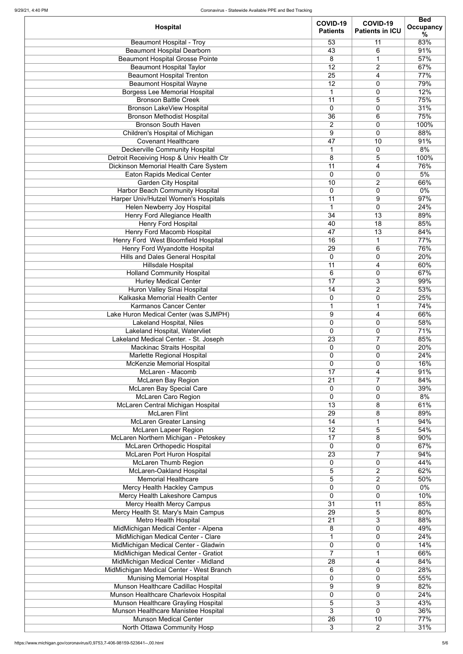| <b>Hospital</b>                                                             | COVID-19<br><b>Patients</b> | COVID-19<br><b>Patients in ICU</b> | <b>Bed</b><br><b>Occupancy</b> |
|-----------------------------------------------------------------------------|-----------------------------|------------------------------------|--------------------------------|
|                                                                             |                             |                                    | %                              |
| <b>Beaumont Hospital - Troy</b>                                             | 53                          | 11                                 | 83%                            |
| <b>Beaumont Hospital Dearborn</b>                                           | 43                          | 6                                  | 91%                            |
| <b>Beaumont Hospital Grosse Pointe</b>                                      | 8<br>12                     | $\mathbf 1$<br>$\overline{2}$      | 57%<br>67%                     |
| <b>Beaumont Hospital Taylor</b><br><b>Beaumont Hospital Trenton</b>         | 25                          | 4                                  | 77%                            |
| <b>Beaumont Hospital Wayne</b>                                              | 12                          | $\mathbf 0$                        | 79%                            |
| <b>Borgess Lee Memorial Hospital</b>                                        | $\mathbf 1$                 | 0                                  | 12%                            |
| <b>Bronson Battle Creek</b>                                                 | 11                          | 5                                  | 75%                            |
| <b>Bronson LakeView Hospital</b>                                            | $\mathbf 0$                 | 0                                  | 31%                            |
| <b>Bronson Methodist Hospital</b>                                           | 36                          | 6                                  | 75%                            |
| <b>Bronson South Haven</b>                                                  | $\overline{2}$              | 0                                  | 100%                           |
| Children's Hospital of Michigan                                             | 9                           | $\mathbf 0$                        | 88%                            |
| <b>Covenant Healthcare</b>                                                  | 47                          | 10                                 | 91%                            |
| <b>Deckerville Community Hospital</b>                                       | $\mathbf 1$                 | $\mathbf 0$                        | 8%                             |
| Detroit Receiving Hosp & Univ Health Ctr                                    | 8<br>11                     | 5                                  | 100%<br>76%                    |
| Dickinson Memorial Health Care System<br><b>Eaton Rapids Medical Center</b> | $\mathbf 0$                 | 4<br>0                             | 5%                             |
| <b>Garden City Hospital</b>                                                 | 10                          | $\overline{2}$                     | 66%                            |
| <b>Harbor Beach Community Hospital</b>                                      | $\overline{0}$              | 0                                  | $0\%$                          |
| Harper Univ/Hutzel Women's Hospitals                                        | 11                          | 9                                  | 97%                            |
| Helen Newberry Joy Hospital                                                 | $\mathbf{1}$                | 0                                  | 24%                            |
| <b>Henry Ford Allegiance Health</b>                                         | 34                          | 13                                 | 89%                            |
| <b>Henry Ford Hospital</b>                                                  | 40                          | $\overline{18}$                    | 85%                            |
| Henry Ford Macomb Hospital                                                  | 47                          | 13                                 | 84%                            |
| Henry Ford West Bloomfield Hospital                                         | 16                          | $\overline{1}$                     | 77%                            |
| Henry Ford Wyandotte Hospital                                               | 29                          | 6                                  | 76%                            |
| <b>Hills and Dales General Hospital</b>                                     | $\pmb{0}$                   | 0                                  | 20%                            |
| <b>Hillsdale Hospital</b>                                                   | $\overline{11}$<br>6        | 4                                  | 60%<br>67%                     |
| <b>Holland Community Hospital</b><br><b>Hurley Medical Center</b>           | 17                          | 0<br>3                             | 99%                            |
| <b>Huron Valley Sinai Hospital</b>                                          | 14                          | $\overline{2}$                     | 53%                            |
| Kalkaska Memorial Health Center                                             | 0                           | 0                                  | 25%                            |
| <b>Karmanos Cancer Center</b>                                               | $\mathbf{1}$                | $\mathbf 1$                        | 74%                            |
| Lake Huron Medical Center (was SJMPH)                                       | 9                           | 4                                  | 66%                            |
| <b>Lakeland Hospital, Niles</b>                                             | $\mathbf 0$                 | 0                                  | 58%                            |
| Lakeland Hospital, Watervliet                                               | $\mathbf 0$                 | 0                                  | 71%                            |
| Lakeland Medical Center. - St. Joseph                                       | 23                          | $\overline{7}$                     | 85%                            |
| <b>Mackinac Straits Hospital</b>                                            | $\mathbf 0$                 | $\mathbf 0$                        | 20%                            |
| Marlette Regional Hospital<br><b>McKenzie Memorial Hospital</b>             | $\mathbf 0$<br>$\mathbf 0$  | 0<br>0                             | 24%<br>16%                     |
| McLaren - Macomb                                                            | 17                          | 4                                  | 91%                            |
| <b>McLaren Bay Region</b>                                                   | 21                          | $\overline{7}$                     | 84%                            |
| <b>McLaren Bay Special Care</b>                                             | $\mathbf 0$                 | 0                                  | 39%                            |
| McLaren Caro Region                                                         | $\overline{0}$              | 0                                  | 8%                             |
| McLaren Central Michigan Hospital                                           | 13                          | 8                                  | 61%                            |
| <b>McLaren Flint</b>                                                        | 29                          | 8                                  | 89%                            |
| <b>McLaren Greater Lansing</b>                                              | 14                          | 1                                  | 94%                            |
| <b>McLaren Lapeer Region</b>                                                | 12                          | 5                                  | 54%                            |
| McLaren Northern Michigan - Petoskey<br>McLaren Orthopedic Hospital         | 17<br>$\mathbf 0$           | 8<br>0                             | 90%<br>67%                     |
| <b>McLaren Port Huron Hospital</b>                                          | 23                          | $\overline{7}$                     | 94%                            |
| <b>McLaren Thumb Region</b>                                                 | $\mathbf 0$                 | 0                                  | 44%                            |
| McLaren-Oakland Hospital                                                    | 5                           | $\overline{2}$                     | 62%                            |
| <b>Memorial Healthcare</b>                                                  | 5                           | $\overline{2}$                     | 50%                            |
| <b>Mercy Health Hackley Campus</b>                                          | $\mathbf 0$                 | 0                                  | $0\%$                          |
| Mercy Health Lakeshore Campus                                               | $\mathbf 0$                 | 0                                  | 10%                            |
| <b>Mercy Health Mercy Campus</b>                                            | $\overline{31}$             | 11                                 | 85%                            |
| Mercy Health St. Mary's Main Campus                                         | 29                          | 5                                  | 80%                            |
| Metro Health Hospital                                                       | $\overline{21}$             | $\overline{3}$                     | 88%                            |
| MidMichigan Medical Center - Alpena<br>MidMichigan Medical Center - Clare   | 8                           | 0<br>$\mathbf 0$                   | 49%<br>24%                     |
| MidMichigan Medical Center - Gladwin                                        | $\mathbf 0$                 | $\mathbf 0$                        | 14%                            |
| MidMichigan Medical Center - Gratiot                                        | $\overline{7}$              |                                    | 66%                            |
| MidMichigan Medical Center - Midland                                        | 28                          | 4                                  | 84%                            |
| MidMichigan Medical Center - West Branch                                    | 6                           | $\mathbf 0$                        | 28%                            |
| <b>Munising Memorial Hospital</b>                                           | $\mathbf 0$                 | $\mathbf 0$                        | 55%                            |
| Munson Healthcare Cadillac Hospital                                         | $9\,$                       | 9                                  | 82%                            |
| Munson Healthcare Charlevoix Hospital                                       | $\mathbf 0$                 | $\mathbf 0$                        | 24%                            |
| Munson Healthcare Grayling Hospital                                         | 5                           | 3                                  | 43%                            |
| Munson Healthcare Manistee Hospital<br><b>Munson Medical Center</b>         | 3<br>26                     | $\overline{0}$<br>10               | 36%                            |
| North Ottawa Community Hosp                                                 | 3                           | $2^{\circ}$                        | 77%<br>31%                     |
|                                                                             |                             |                                    |                                |